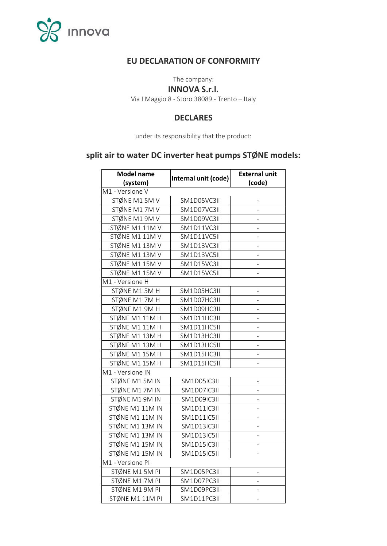

# **EU DECLARATION OF CONFORMITY**

The company:

#### **INNOVA S.r.l.**

Via I Maggio 8 - Storo 38089 - Trento – Italy

## **DECLARES**

under its responsibility that the product:

# **split air to water DC inverter heat pumps STØNE models:**

| <b>Model name</b> | Internal unit (code) | <b>External unit</b>         |  |  |
|-------------------|----------------------|------------------------------|--|--|
| (system)          |                      | (code)                       |  |  |
| M1 - Versione V   |                      |                              |  |  |
| STØNE M1 5M V     | SM1D05VC3II          |                              |  |  |
| STØNE M17MV       | SM1D07VC3II          |                              |  |  |
| STØNE M1 9M V     | SM1D09VC3II          |                              |  |  |
| STØNE M1 11M V    | SM1D11VC3II          |                              |  |  |
| STØNE M1 11M V    | SM1D11VC5II          | -                            |  |  |
| STØNE M1 13M V    | SM1D13VC3II          | -                            |  |  |
| STØNE M1 13M V    | SM1D13VC5II          | ÷                            |  |  |
| STØNE M1 15M V    | SM1D15VC3II          | ÷                            |  |  |
| STØNE M1 15M V    | SM1D15VC5II          | -                            |  |  |
| M1 - Versione H   |                      |                              |  |  |
| STØNE M1 5M H     | SM1D05HC3II          |                              |  |  |
| STØNE M17MH       | SM1D07HC3II          | -                            |  |  |
| STØNE M1 9M H     | SM1D09HC3II          | -                            |  |  |
| STØNE M1 11MH     | SM1D11HC3II          | -                            |  |  |
| STØNE M1 11M H    | SM1D11HC5II          | -                            |  |  |
| STØNE M1 13M H    | SM1D13HC3II          | -                            |  |  |
| STØNE M1 13M H    | SM1D13HC5II          | $\overline{\phantom{0}}$     |  |  |
| STØNE M1 15M H    | SM1D15HC3II          | $\overline{\phantom{0}}$     |  |  |
| STØNE M1 15M H    | SM1D15HC5II          | $\qquad \qquad \blacksquare$ |  |  |
| M1 - Versione IN  |                      |                              |  |  |
| STØNE M1 5M IN    | SM1D05IC3II          | ÷,                           |  |  |
| STØNE M17M IN     | SM1D07IC3II          | ÷,                           |  |  |
| STØNE M1 9M IN    | SM1D09IC3II          | ÷                            |  |  |
| STØNE M1 11M IN   | <b>SM1D11IC3II</b>   | -                            |  |  |
| STØNE M1 11M IN   | SM1D11IC5II          | -                            |  |  |
| STØNE M1 13M IN   | SM1D13IC3II          | -                            |  |  |
| STØNE M1 13M IN   | SM1D13IC5II          | -                            |  |  |
| STØNE M1 15M IN   | SM1D15IC3II          | $\overline{\phantom{0}}$     |  |  |
| STØNE M1 15M IN   | SM1D15IC5II          | -                            |  |  |
| M1 - Versione PI  |                      |                              |  |  |
| STØNE M1 5M PI    | SM1D05PC3II          | -                            |  |  |
| STØNE M17M PI     | SM1D07PC3II          | -                            |  |  |
| STØNE M1 9M PI    | SM1D09PC3II          | -                            |  |  |
| STØNE M1 11M PI   | SM1D11PC3II          |                              |  |  |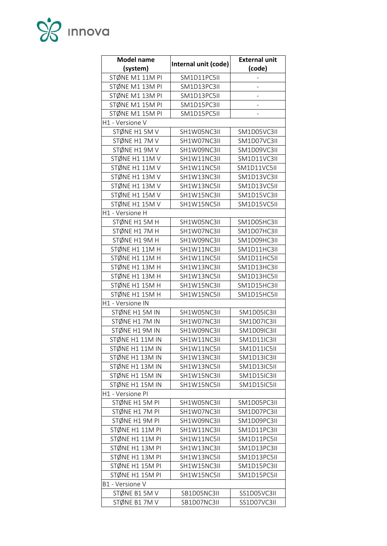

| <b>Model name</b> |                      | <b>External unit</b> |
|-------------------|----------------------|----------------------|
| (system)          | Internal unit (code) | (code)               |
| STØNE M1 11M PI   | SM1D11PC5II          |                      |
| STØNE M1 13M PI   | SM1D13PC3II          | $\overline{a}$       |
| STØNE M1 13M PI   | SM1D13PC5II          |                      |
| STØNE M1 15M PI   | SM1D15PC3II          |                      |
| STØNE M1 15M PI   | SM1D15PC5II          | -                    |
| H1 - Versione V   |                      |                      |
| STØNE H1 5M V     | SH1W05NC3II          | SM1D05VC3II          |
| STØNE H17MV       | SH1W07NC3II          | SM1D07VC3II          |
| STØNE H1 9M V     | SH1W09NC3II          | SM1D09VC3II          |
| STØNE H1 11M V    | SH1W11NC3II          | SM1D11VC3II          |
| STØNE H1 11M V    | SH1W11NC5II          | SM1D11VC5II          |
| STØNE H1 13M V    | SH1W13NC3II          | SM1D13VC3II          |
| STØNE H1 13M V    | SH1W13NC5II          | SM1D13VC5II          |
| STØNE H1 15M V    | SH1W15NC3II          | SM1D15VC3II          |
| STØNE H1 15M V    | SH1W15NC5II          | SM1D15VC5II          |
| H1 - Versione H   |                      |                      |
| STØNE H1 5M H     | SH1W05NC3II          | SM1D05HC3II          |
| STØNE H17MH       | SH1W07NC3II          | SM1D07HC3II          |
| STØNE H1 9M H     | SH1W09NC3II          | SM1D09HC3II          |
| STØNE H1 11M H    | SH1W11NC3II          | SM1D11HC3II          |
| STØNE H1 11M H    | SH1W11NC5II          | SM1D11HC5II          |
| STØNE H1 13M H    | SH1W13NC3II          | SM1D13HC3II          |
| STØNE H1 13M H    | SH1W13NC5II          | SM1D13HC5II          |
| STØNE H1 15M H    | SH1W15NC3II          | SM1D15HC3II          |
| STØNE H1 15M H    | SH1W15NC5II          | SM1D15HC5II          |
| H1 - Versione IN  |                      |                      |
| STØNE H1 5M IN    | SH1W05NC3II          | SM1D05IC3II          |
| STØNE H17M IN     | SH1W07NC3II          | SM1D07IC3II          |
| STØNE H1 9M IN    | SH1W09NC3II          | SM1D09IC3II          |
| STØNE H1 11M IN   | SH1W11NC3II          | <b>SM1D11IC3II</b>   |
| STØNE H1 11M IN   | SH1W11NC5II          | SM1D11IC5II          |
| STØNE H1 13M IN   | SH1W13NC3II          | SM1D13IC3II          |
| STØNE H1 13M IN   | SH1W13NC5II          | SM1D13IC5II          |
| STØNE H1 15M IN   | SH1W15NC3II          | SM1D15IC3II          |
| STØNE H1 15M IN   | SH1W15NC5II          | SM1D15IC5II          |
| H1 - Versione PI  |                      |                      |
| STØNE H1 5M PI    | SH1W05NC3II          | SM1D05PC3II          |
| STØNE H17M PI     | SH1W07NC3II          | SM1D07PC3II          |
| STØNE H1 9M PI    | SH1W09NC3II          | SM1D09PC3II          |
| STØNE H1 11M PI   | SH1W11NC3II          | SM1D11PC3II          |
| STØNE H1 11M PI   | SH1W11NC5II          | SM1D11PC5II          |
| STØNE H1 13M PI   | SH1W13NC3II          | SM1D13PC3II          |
| STØNE H1 13M PI   | SH1W13NC5II          | SM1D13PC5II          |
| STØNE H1 15M PI   | SH1W15NC3II          | SM1D15PC3II          |
| STØNE H1 15M PI   | SH1W15NC5II          | SM1D15PC5II          |
| B1 - Versione V   |                      |                      |
| STØNE B1 5M V     | SB1D05NC3II          | SS1D05VC3II          |
| STØNE B17MV       | SB1D07NC3II          | SS1D07VC3II          |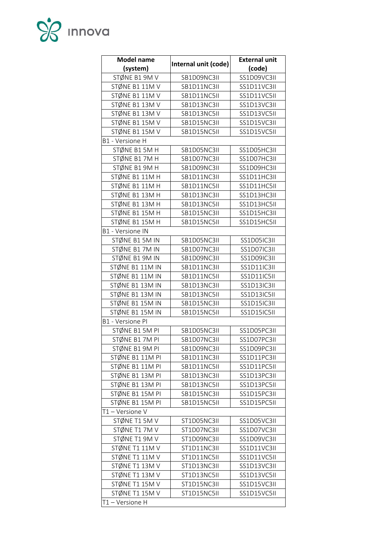

| <b>Model name</b> |                      | <b>External unit</b> |
|-------------------|----------------------|----------------------|
| (system)          | Internal unit (code) | (code)               |
| STØNE B1 9M V     | SB1D09NC3II          | SS1D09VC3II          |
| STØNE B1 11M V    | SB1D11NC3II          | SS1D11VC3II          |
| STØNE B1 11M V    | SB1D11NC5II          | SS1D11VC5II          |
| STØNE B1 13M V    | SB1D13NC3II          | SS1D13VC3II          |
| STØNE B1 13M V    | SB1D13NC5II          | SS1D13VC5II          |
| STØNE B1 15M V    | SB1D15NC3II          | SS1D15VC3II          |
| STØNE B1 15M V    | SB1D15NC5II          | SS1D15VC5II          |
| B1 - Versione H   |                      |                      |
| STØNE B1 5M H     | SB1D05NC3II          | SS1D05HC3II          |
| STØNE B17MH       | SB1D07NC3II          | SS1D07HC3II          |
| STØNE B1 9M H     | SB1D09NC3II          | SS1D09HC3II          |
| STØNE B1 11M H    | SB1D11NC3II          | SS1D11HC3II          |
| STØNE B1 11M H    | SB1D11NC5II          | SS1D11HC5II          |
| STØNE B1 13M H    | SB1D13NC3II          | SS1D13HC3II          |
| STØNE B1 13M H    | SB1D13NC5II          | SS1D13HC5II          |
| STØNE B1 15M H    | SB1D15NC3II          | SS1D15HC3II          |
| STØNE B1 15M H    | SB1D15NC5II          | SS1D15HC5II          |
| B1 - Versione IN  |                      |                      |
| STØNE B1 5M IN    | SB1D05NC3II          | SS1D05IC3II          |
| STØNE B17M IN     | SB1D07NC3II          | SS1D07IC3II          |
| STØNE B1 9M IN    | SB1D09NC3II          | SS1D09IC3II          |
| STØNE B1 11M IN   | SB1D11NC3II          | SS1D11IC3II          |
| STØNE B1 11M IN   | SB1D11NC5II          | <b>SS1D11IC5II</b>   |
| STØNE B1 13M IN   | SB1D13NC3II          | <b>SS1D13IC3II</b>   |
| STØNE B1 13M IN   | SB1D13NC5II          | SS1D13IC5II          |
| STØNE B1 15M IN   | SB1D15NC3II          | <b>SS1D15IC3II</b>   |
| STØNE B1 15M IN   | SB1D15NC5II          | SS1D15IC5II          |
| B1 - Versione PI  |                      |                      |
| STØNE B1 5M PI    | SB1D05NC3II          | SS1D05PC3II          |
| STØNE B17M PI     | SB1D07NC3II          | SS1D07PC3II          |
| STØNE B1 9M PI    | SB1D09NC3II          | SS1D09PC3II          |
| STØNE B1 11M PI   | SB1D11NC3II          | SS1D11PC3II          |
| STØNE B1 11M PI   | SB1D11NC5II          | SS1D11PC5II          |
| STØNE B1 13M PI   | SB1D13NC3II          | SS1D13PC3II          |
| STØNE B1 13M PI   | SB1D13NC5II          | SS1D13PC5II          |
| STØNE B1 15M PI   | SB1D15NC3II          | SS1D15PC3II          |
| STØNE B1 15M PI   | SB1D15NC5II          | SS1D15PC5II          |
| T1-Versione V     |                      |                      |
| STØNE T1 5M V     | ST1D05NC3II          | SS1D05VC3II          |
| STØNE T17MV       | ST1D07NC3II          | SS1D07VC3II          |
| STØNE T1 9M V     | ST1D09NC3II          | SS1D09VC3II          |
| STØNE T1 11M V    | ST1D11NC3II          | SS1D11VC3II          |
| STØNE T1 11M V    | ST1D11NC5II          | SS1D11VC5II          |
| STØNE T1 13M V    | ST1D13NC3II          | SS1D13VC3II          |
| STØNE T1 13M V    | ST1D13NC5II          | SS1D13VC5II          |
| STØNE T1 15M V    | ST1D15NC3II          | SS1D15VC3II          |
| STØNE T1 15M V    | ST1D15NC5II          | SS1D15VC5II          |
| T1-Versione H     |                      |                      |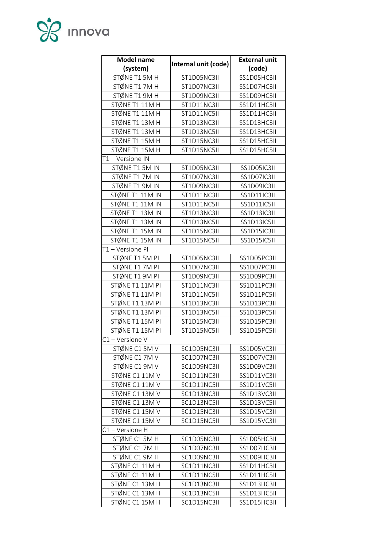

| <b>Model name</b> |                      | <b>External unit</b> |
|-------------------|----------------------|----------------------|
| (system)          | Internal unit (code) | (code)               |
| STØNE T1 5M H     | ST1D05NC3II          | SS1D05HC3II          |
| STØNE T17MH       | ST1D07NC3II          | SS1D07HC3II          |
| STØNE T1 9M H     | ST1D09NC3II          | SS1D09HC3II          |
| STØNE T1 11MH     | ST1D11NC3II          | SS1D11HC3II          |
| STØNE T1 11MH     | ST1D11NC5II          | SS1D11HC5II          |
| STØNE T1 13M H    | ST1D13NC3II          | SS1D13HC3II          |
| STØNE T1 13M H    | ST1D13NC5II          | SS1D13HC5II          |
| STØNE T1 15M H    | ST1D15NC3II          | SS1D15HC3II          |
| STØNE T1 15M H    | ST1D15NC5II          | SS1D15HC5II          |
| T1-Versione IN    |                      |                      |
| STØNE T1 5M IN    | ST1D05NC3II          | SS1D05IC3II          |
| STØNE T17M IN     | ST1D07NC3II          | SS1D07IC3II          |
| STØNE T1 9M IN    | ST1D09NC3II          | SS1D09IC3II          |
| STØNE T1 11M IN   | ST1D11NC3II          | SS1D11IC3II          |
| STØNE T1 11M IN   | ST1D11NC5II          | SS1D11IC5II          |
| STØNE T1 13M IN   | ST1D13NC3II          | <b>SS1D13IC3II</b>   |
| STØNE T1 13M IN   | ST1D13NC5II          | SS1D13IC5II          |
| STØNE T1 15M IN   | ST1D15NC3II          | <b>SS1D15IC3II</b>   |
| STØNE T1 15M IN   | ST1D15NC5II          | SS1D15IC5II          |
| T1-Versione PI    |                      |                      |
| STØNE T1 5M PI    | ST1D05NC3II          | SS1D05PC3II          |
| STØNE T17M PI     | ST1D07NC3II          | SS1D07PC3II          |
| STØNE T1 9M PI    | ST1D09NC3II          | SS1D09PC3II          |
| STØNE T1 11M PI   | ST1D11NC3II          | SS1D11PC3II          |
| STØNE T1 11M PI   | ST1D11NC5II          | SS1D11PC5II          |
| STØNE T1 13M PI   | ST1D13NC3II          | SS1D13PC3II          |
| STØNE T1 13M PI   | ST1D13NC5II          | SS1D13PC5II          |
| STØNE T1 15M PI   | ST1D15NC3II          | SS1D15PC3II          |
| STØNE T1 15M PI   | ST1D15NC5II          | SS1D15PC5II          |
| $C1 -$ Versione V |                      |                      |
| STØNE C1 5M V     | SC1D05NC3II          | SS1D05VC3II          |
| STØNE C17MV       | SC1D07NC3II          | SS1D07VC3II          |
| STØNE C1 9M V     | SC1D09NC3II          | SS1D09VC3II          |
| STØNE C1 11M V    | SC1D11NC3II          | SS1D11VC3II          |
| STØNE C1 11M V    | SC1D11NC5II          | SS1D11VC5II          |
| STØNE C1 13M V    | SC1D13NC3II          | SS1D13VC3II          |
| STØNE C1 13M V    | SC1D13NC5II          | SS1D13VC5II          |
| STØNE C1 15M V    | SC1D15NC3II          | SS1D15VC3II          |
| STØNE C1 15M V    | SC1D15NC5II          | SS1D15VC3II          |
| C1-Versione H     |                      |                      |
| STØNE C1 5M H     | SC1D05NC3II          | SS1D05HC3II          |
| STØNE C17MH       | SC1D07NC3II          | SS1D07HC3II          |
| STØNE C1 9M H     | SC1D09NC3II          | SS1D09HC3II          |
| STØNE C1 11M H    | SC1D11NC3II          | SS1D11HC3II          |
| STØNE C1 11M H    | SC1D11NC5II          | SS1D11HC5II          |
| STØNE C1 13M H    | SC1D13NC3II          | SS1D13HC3II          |
| STØNE C1 13M H    | SC1D13NC5II          | SS1D13HC5II          |
| STØNE C1 15M H    | SC1D15NC3II          | SS1D15HC3II          |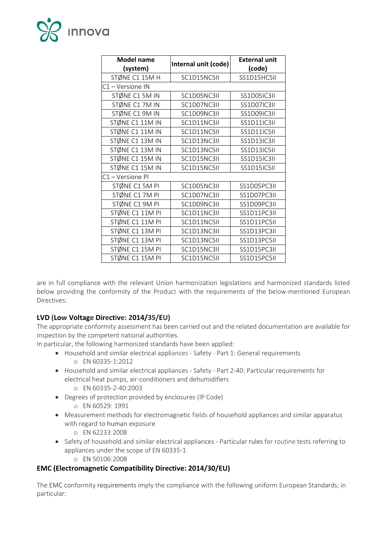

| <b>Model name</b> | Internal unit (code) | <b>External unit</b> |
|-------------------|----------------------|----------------------|
| (system)          |                      | (code)               |
| STØNE C1 15M H    | SC1D15NC5II          | SS1D15HC5II          |
| C1-Versione IN    |                      |                      |
| STØNE C1 5M IN    | SC1D05NC3II          | SS1D05IC3II          |
| STØNE C1 7M IN    | SC1D07NC3II          | SS1D07IC3II          |
| STØNE C1 9M IN    | SC1D09NC3II          | SS1D09IC3II          |
| STØNE C1 11M IN   | SC1D11NC3II          | SS1D11IC3II          |
| STØNE C1 11M IN   | SC1D11NC5II          | <b>SS1D11IC5II</b>   |
| STØNE C1 13M IN   | SC1D13NC3II          | <b>SS1D13IC3II</b>   |
| STØNE C1 13M IN   | SC1D13NC5II          | SS1D13IC5II          |
| STØNE C1 15M IN   | SC1D15NC3II          | SS1D15IC3II          |
| STØNE C1 15M IN   | SC1D15NC5II          | <b>SS1D15IC5II</b>   |
| C1-Versione PI    |                      |                      |
| STØNE C1 5M PI    | SC1D05NC3II          | SS1D05PC3II          |
| STØNE C17M PI     | SC1D07NC3II          | SS1D07PC3II          |
| STØNE C1 9M PI    | SC1D09NC3II          | SS1D09PC3II          |
| STØNE C1 11M PI   | SC1D11NC3II          | SS1D11PC3II          |
| STØNE C1 11M PI   | SC1D11NC5II          | SS1D11PC5II          |
| STØNE C1 13M PI   | SC1D13NC3II          | SS1D13PC3II          |
| STØNE C1 13M PI   | SC1D13NC5II          | SS1D13PC5II          |
| STØNE C1 15M PI   | SC1D15NC3II          | SS1D15PC3II          |
| STØNE C1 15M PI   | SC1D15NC5II          | SS1D15PC5II          |

are in full compliance with the relevant Union harmonization legislations and harmonized standards listed below providing the conformity of the Product with the requirements of the below-mentioned European Directives:

#### **LVD (Low Voltage Directive: 2014/35/EU)**

The appropriate conformity assessment has been carried out and the related documentation are available for inspection by the competent national authorities.

In particular, the following harmonized standards have been applied:

- Household and similar electrical appliances Safety Part 1: General requirements o EN 60335-1:2012
- Household and similar electrical appliances Safety Part 2-40: Particular requirements for electrical heat pumps, air-conditioners and dehumidifiers o EN 60335-2-40:2003
- Degrees of protection provided by enclosures (IP Code) o EN 60529: 1991
- Measurement methods for electromagnetic fields of household appliances and similar apparatus with regard to human exposure
	- o EN 62233:2008
- Safety of household and similar electrical appliances Particular rules for routine tests referring to appliances under the scope of EN 60335-1
	- o EN 50106:2008

# **EMC (Electromagnetic Compatibility Directive: 2014/30/EU)**

The EMC conformity requirements imply the compliance with the following uniform European Standards; in particular: